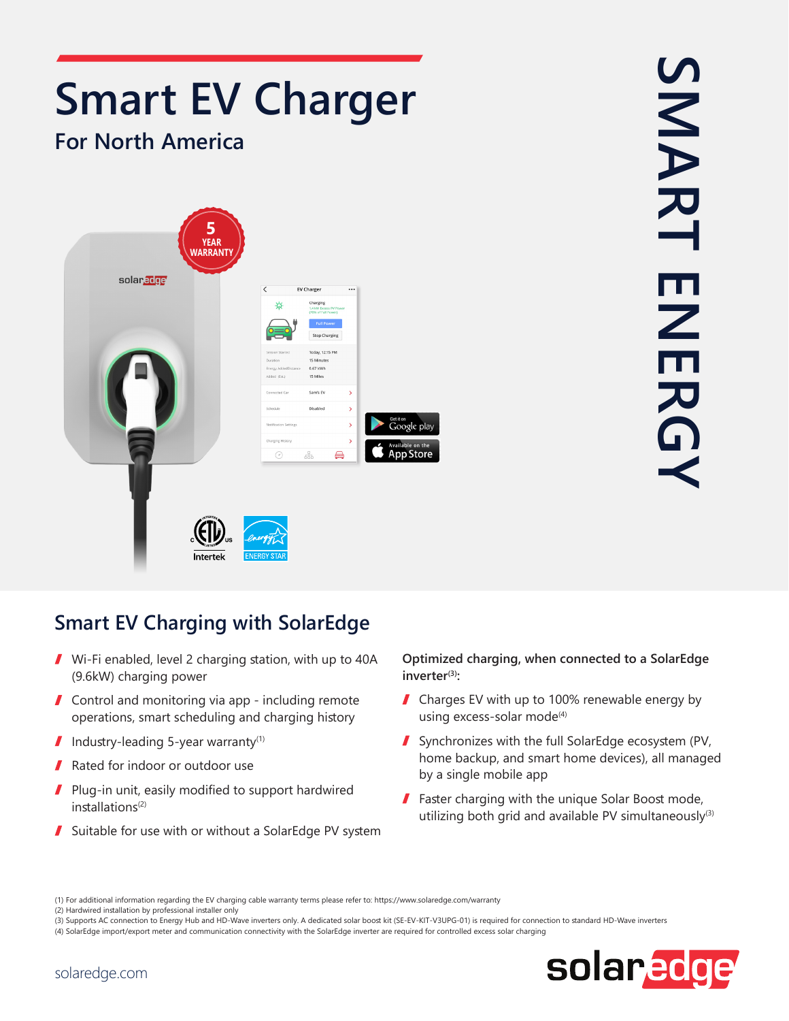

## SMART ENERGY SMART **HNEK**

## **Smart EV Charging with SolarEdge**

- $\blacksquare$  Wi-Fi enabled, level 2 charging station, with up to 40A  $(9.6kW)$  charging power
- $\sqrt{\frac{1}{\pi}}$  Control and monitoring via app including remote operations, smart scheduling and charging history
- $\blacksquare$  Industry-leading 5-year warranty<sup>(1)</sup>
- Rated for indoor or outdoor use 7
- Plug-in unit, easily modified to support hardwired  $\mathbf{I}$ installations<sup>(2)</sup>
- $\blacksquare$  Suitable for use with or without a SolarEdge PV system

## **Optimized charging, when connected to a SolarEdge (3)inverter :**

- $\blacksquare$  Charges EV with up to 100% renewable energy by using excess-solar mode<sup>(4)</sup>
- Synchronizes with the full SolarEdge ecosystem (PV, home backup, and smart home devices), all managed by a single mobile app
- $\blacksquare$  Faster charging with the unique Solar Boost mode, utilizing both grid and available PV simultaneously<sup>(3)</sup>

<sup>(3)</sup> Supports AC connection to Energy Hub and HD-Wave inverters only. A dedicated solar boost kit (SE-EV-KIT-V3UPG-01) is required for connection to standard HD-Wave inverters (4) SolarEdge import/export meter and communication connectivity with the SolarEdge inverter are required for controlled excess solar charging



<sup>(1)</sup> For additional information regarding the EV charging cable warranty terms please refer to: https://www.solaredge.com/warranty

<sup>(2)</sup> Hardwired installation by professional installer only